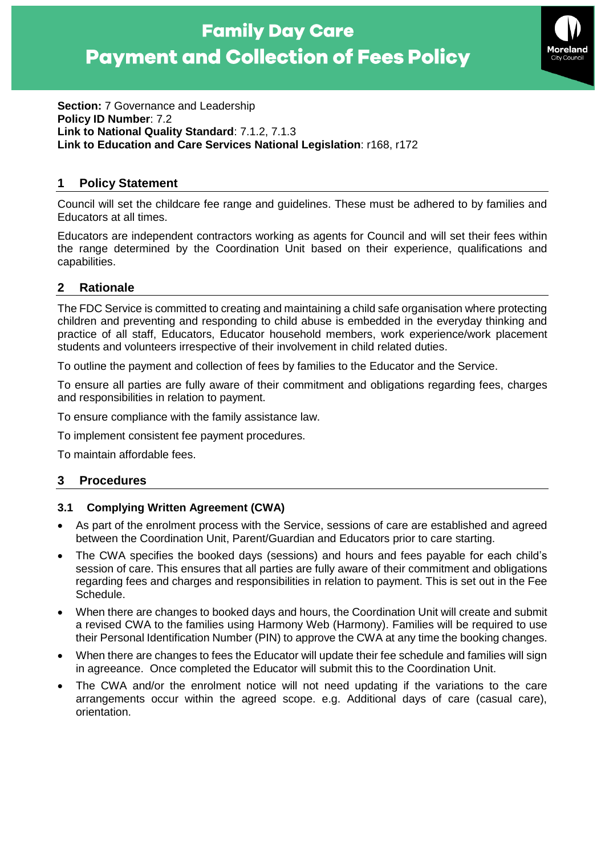# **Family Day Care Payment and Collection of Fees Policy**



**Section:** 7 Governance and Leadership **Policy ID Number**: 7.2 **Link to National Quality Standard**: 7.1.2, 7.1.3 **Link to Education and Care Services National Legislation**: r168, r172

## **1 Policy Statement**

Council will set the childcare fee range and guidelines. These must be adhered to by families and Educators at all times.

Educators are independent contractors working as agents for Council and will set their fees within the range determined by the Coordination Unit based on their experience, qualifications and capabilities.

# **2 Rationale**

The FDC Service is committed to creating and maintaining a child safe organisation where protecting children and preventing and responding to child abuse is embedded in the everyday thinking and practice of all staff, Educators, Educator household members, work experience/work placement students and volunteers irrespective of their involvement in child related duties.

To outline the payment and collection of fees by families to the Educator and the Service.

To ensure all parties are fully aware of their commitment and obligations regarding fees, charges and responsibilities in relation to payment.

To ensure compliance with the family assistance law.

To implement consistent fee payment procedures.

To maintain affordable fees.

## **3 Procedures**

## **3.1 Complying Written Agreement (CWA)**

- As part of the enrolment process with the Service, sessions of care are established and agreed between the Coordination Unit, Parent/Guardian and Educators prior to care starting.
- The CWA specifies the booked days (sessions) and hours and fees payable for each child's session of care. This ensures that all parties are fully aware of their commitment and obligations regarding fees and charges and responsibilities in relation to payment. This is set out in the Fee Schedule.
- When there are changes to booked days and hours, the Coordination Unit will create and submit a revised CWA to the families using Harmony Web (Harmony). Families will be required to use their Personal Identification Number (PIN) to approve the CWA at any time the booking changes.
- When there are changes to fees the Educator will update their fee schedule and families will sign in agreeance. Once completed the Educator will submit this to the Coordination Unit.
- The CWA and/or the enrolment notice will not need updating if the variations to the care arrangements occur within the agreed scope. e.g. Additional days of care (casual care), orientation.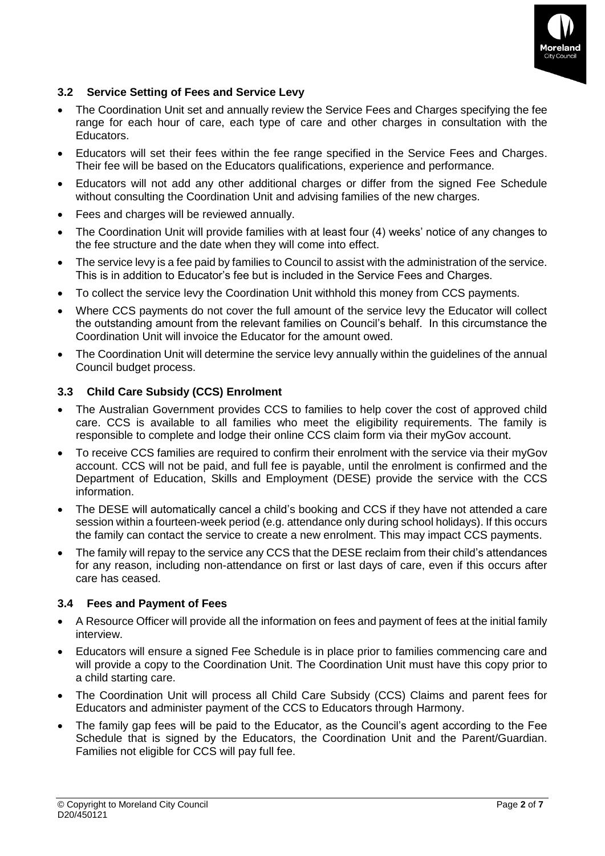

## **3.2 Service Setting of Fees and Service Levy**

- The Coordination Unit set and annually review the Service Fees and Charges specifying the fee range for each hour of care, each type of care and other charges in consultation with the Educators.
- Educators will set their fees within the fee range specified in the Service Fees and Charges. Their fee will be based on the Educators qualifications, experience and performance.
- Educators will not add any other additional charges or differ from the signed Fee Schedule without consulting the Coordination Unit and advising families of the new charges.
- Fees and charges will be reviewed annually.
- The Coordination Unit will provide families with at least four (4) weeks' notice of any changes to the fee structure and the date when they will come into effect.
- The service levy is a fee paid by families to Council to assist with the administration of the service. This is in addition to Educator's fee but is included in the Service Fees and Charges.
- To collect the service levy the Coordination Unit withhold this money from CCS payments.
- Where CCS payments do not cover the full amount of the service levy the Educator will collect the outstanding amount from the relevant families on Council's behalf. In this circumstance the Coordination Unit will invoice the Educator for the amount owed.
- The Coordination Unit will determine the service levy annually within the guidelines of the annual Council budget process.

## **3.3 Child Care Subsidy (CCS) Enrolment**

- The Australian Government provides CCS to families to help cover the cost of approved child care. CCS is available to all families who meet the eligibility requirements. The family is responsible to complete and lodge their online CCS claim form via their myGov account.
- To receive CCS families are required to confirm their enrolment with the service via their myGov account. CCS will not be paid, and full fee is payable, until the enrolment is confirmed and the Department of Education, Skills and Employment (DESE) provide the service with the CCS information.
- The DESE will automatically cancel a child's booking and CCS if they have not attended a care session within a fourteen-week period (e.g. attendance only during school holidays). If this occurs the family can contact the service to create a new enrolment. This may impact CCS payments.
- The family will repay to the service any CCS that the DESE reclaim from their child's attendances for any reason, including non-attendance on first or last days of care, even if this occurs after care has ceased.

#### **3.4 Fees and Payment of Fees**

- A Resource Officer will provide all the information on fees and payment of fees at the initial family interview.
- Educators will ensure a signed Fee Schedule is in place prior to families commencing care and will provide a copy to the Coordination Unit. The Coordination Unit must have this copy prior to a child starting care.
- The Coordination Unit will process all Child Care Subsidy (CCS) Claims and parent fees for Educators and administer payment of the CCS to Educators through Harmony.
- The family gap fees will be paid to the Educator, as the Council's agent according to the Fee Schedule that is signed by the Educators, the Coordination Unit and the Parent/Guardian. Families not eligible for CCS will pay full fee.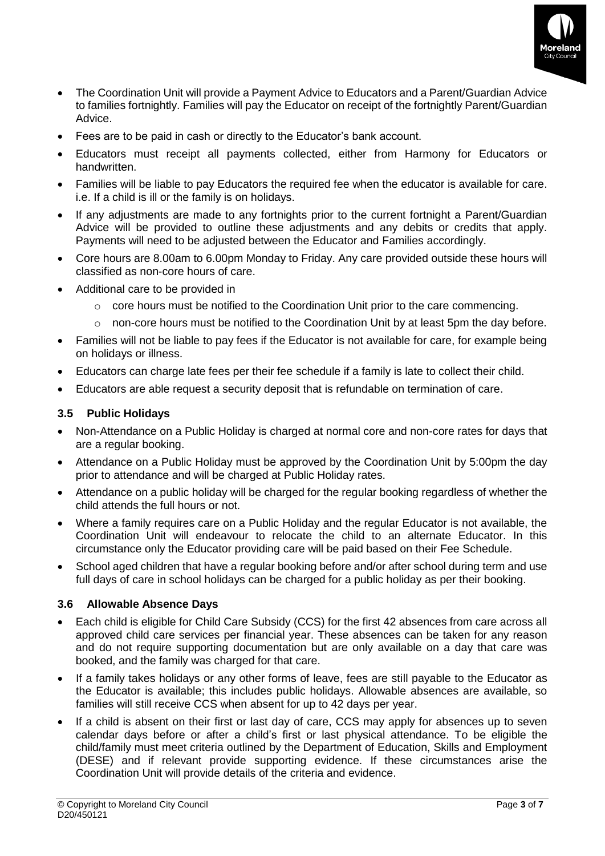

- The Coordination Unit will provide a Payment Advice to Educators and a Parent/Guardian Advice to families fortnightly. Families will pay the Educator on receipt of the fortnightly Parent/Guardian Advice.
- Fees are to be paid in cash or directly to the Educator's bank account.
- Educators must receipt all payments collected, either from Harmony for Educators or handwritten.
- Families will be liable to pay Educators the required fee when the educator is available for care. i.e. If a child is ill or the family is on holidays.
- If any adjustments are made to any fortnights prior to the current fortnight a Parent/Guardian Advice will be provided to outline these adjustments and any debits or credits that apply. Payments will need to be adjusted between the Educator and Families accordingly.
- Core hours are 8.00am to 6.00pm Monday to Friday. Any care provided outside these hours will classified as non-core hours of care.
- Additional care to be provided in
	- $\circ$  core hours must be notified to the Coordination Unit prior to the care commencing.
	- $\circ$  non-core hours must be notified to the Coordination Unit by at least 5pm the day before.
- Families will not be liable to pay fees if the Educator is not available for care, for example being on holidays or illness.
- Educators can charge late fees per their fee schedule if a family is late to collect their child.
- Educators are able request a security deposit that is refundable on termination of care.

#### **3.5 Public Holidays**

- Non-Attendance on a Public Holiday is charged at normal core and non-core rates for days that are a regular booking.
- Attendance on a Public Holiday must be approved by the Coordination Unit by 5:00pm the day prior to attendance and will be charged at Public Holiday rates.
- Attendance on a public holiday will be charged for the regular booking regardless of whether the child attends the full hours or not.
- Where a family requires care on a Public Holiday and the regular Educator is not available, the Coordination Unit will endeavour to relocate the child to an alternate Educator. In this circumstance only the Educator providing care will be paid based on their Fee Schedule.
- School aged children that have a regular booking before and/or after school during term and use full days of care in school holidays can be charged for a public holiday as per their booking.

## **3.6 Allowable Absence Days**

- Each child is eligible for Child Care Subsidy (CCS) for the first 42 absences from care across all approved child care services per financial year. These absences can be taken for any reason and do not require supporting documentation but are only available on a day that care was booked, and the family was charged for that care.
- If a family takes holidays or any other forms of leave, fees are still payable to the Educator as the Educator is available; this includes public holidays. Allowable absences are available, so families will still receive CCS when absent for up to 42 days per year.
- If a child is absent on their first or last day of care, CCS may apply for absences up to seven calendar days before or after a child's first or last physical attendance. To be eligible the child/family must meet criteria outlined by the Department of Education, Skills and Employment (DESE) and if relevant provide supporting evidence. If these circumstances arise the Coordination Unit will provide details of the criteria and evidence.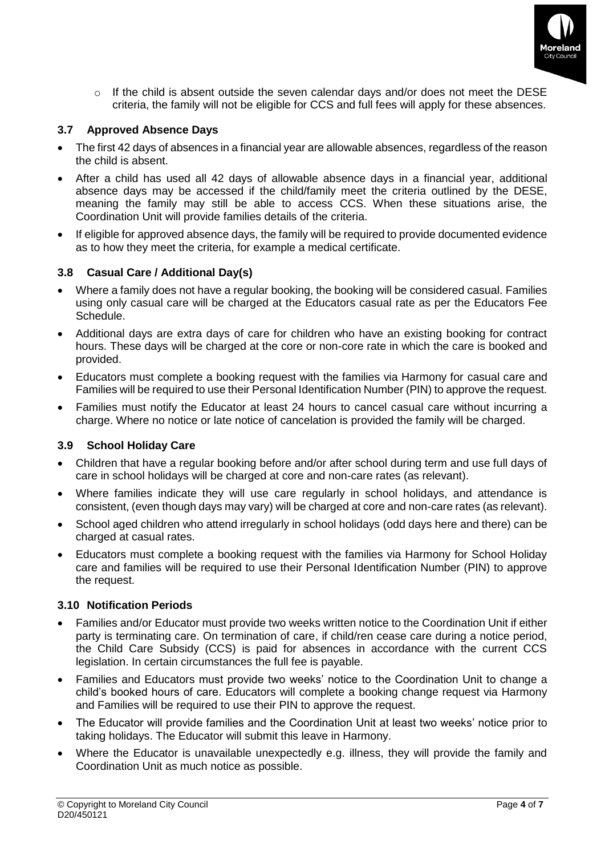

o If the child is absent outside the seven calendar days and/or does not meet the DESE criteria, the family will not be eligible for CCS and full fees will apply for these absences.

#### **3.7 Approved Absence Days**

- The first 42 days of absences in a financial year are allowable absences, regardless of the reason the child is absent.
- After a child has used all 42 days of allowable absence days in a financial year, additional absence days may be accessed if the child/family meet the criteria outlined by the DESE, meaning the family may still be able to access CCS. When these situations arise, the Coordination Unit will provide families details of the criteria.
- If eligible for approved absence days, the family will be required to provide documented evidence as to how they meet the criteria, for example a medical certificate.

#### **3.8 Casual Care / Additional Day(s)**

- Where a family does not have a regular booking, the booking will be considered casual. Families using only casual care will be charged at the Educators casual rate as per the Educators Fee Schedule.
- Additional days are extra days of care for children who have an existing booking for contract hours. These days will be charged at the core or non-core rate in which the care is booked and provided.
- Educators must complete a booking request with the families via Harmony for casual care and Families will be required to use their Personal Identification Number (PIN) to approve the request.
- Families must notify the Educator at least 24 hours to cancel casual care without incurring a charge. Where no notice or late notice of cancelation is provided the family will be charged.

#### **3.9 School Holiday Care**

- Children that have a regular booking before and/or after school during term and use full days of care in school holidays will be charged at core and non-care rates (as relevant).
- Where families indicate they will use care regularly in school holidays, and attendance is consistent, (even though days may vary) will be charged at core and non-care rates (as relevant).
- School aged children who attend irregularly in school holidays (odd days here and there) can be charged at casual rates.
- Educators must complete a booking request with the families via Harmony for School Holiday care and families will be required to use their Personal Identification Number (PIN) to approve the request.

## **3.10 Notification Periods**

- Families and/or Educator must provide two weeks written notice to the Coordination Unit if either party is terminating care. On termination of care, if child/ren cease care during a notice period, the Child Care Subsidy (CCS) is paid for absences in accordance with the current CCS legislation. In certain circumstances the full fee is payable.
- Families and Educators must provide two weeks' notice to the Coordination Unit to change a child's booked hours of care. Educators will complete a booking change request via Harmony and Families will be required to use their PIN to approve the request.
- The Educator will provide families and the Coordination Unit at least two weeks' notice prior to taking holidays. The Educator will submit this leave in Harmony.
- Where the Educator is unavailable unexpectedly e.g. illness, they will provide the family and Coordination Unit as much notice as possible.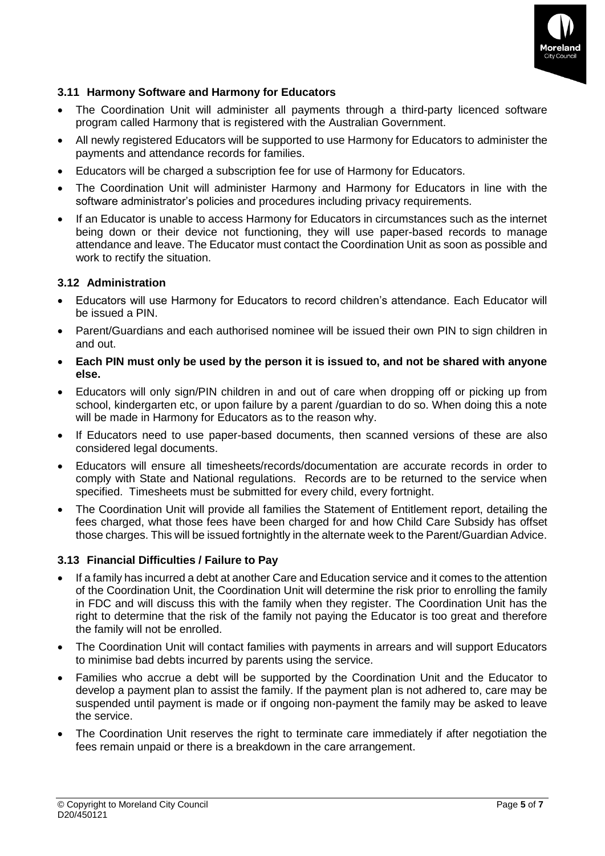

## **3.11 Harmony Software and Harmony for Educators**

- The Coordination Unit will administer all payments through a third-party licenced software program called Harmony that is registered with the Australian Government.
- All newly registered Educators will be supported to use Harmony for Educators to administer the payments and attendance records for families.
- Educators will be charged a subscription fee for use of Harmony for Educators.
- The Coordination Unit will administer Harmony and Harmony for Educators in line with the software administrator's policies and procedures including privacy requirements.
- If an Educator is unable to access Harmony for Educators in circumstances such as the internet being down or their device not functioning, they will use paper-based records to manage attendance and leave. The Educator must contact the Coordination Unit as soon as possible and work to rectify the situation.

## **3.12 Administration**

- Educators will use Harmony for Educators to record children's attendance. Each Educator will be issued a PIN.
- Parent/Guardians and each authorised nominee will be issued their own PIN to sign children in and out.
- **Each PIN must only be used by the person it is issued to, and not be shared with anyone else.**
- Educators will only sign/PIN children in and out of care when dropping off or picking up from school, kindergarten etc, or upon failure by a parent /guardian to do so. When doing this a note will be made in Harmony for Educators as to the reason why.
- If Educators need to use paper-based documents, then scanned versions of these are also considered legal documents.
- Educators will ensure all timesheets/records/documentation are accurate records in order to comply with State and National regulations. Records are to be returned to the service when specified. Timesheets must be submitted for every child, every fortnight.
- The Coordination Unit will provide all families the Statement of Entitlement report, detailing the fees charged, what those fees have been charged for and how Child Care Subsidy has offset those charges. This will be issued fortnightly in the alternate week to the Parent/Guardian Advice.

#### **3.13 Financial Difficulties / Failure to Pay**

- If a family has incurred a debt at another Care and Education service and it comes to the attention of the Coordination Unit, the Coordination Unit will determine the risk prior to enrolling the family in FDC and will discuss this with the family when they register. The Coordination Unit has the right to determine that the risk of the family not paying the Educator is too great and therefore the family will not be enrolled.
- The Coordination Unit will contact families with payments in arrears and will support Educators to minimise bad debts incurred by parents using the service.
- Families who accrue a debt will be supported by the Coordination Unit and the Educator to develop a payment plan to assist the family. If the payment plan is not adhered to, care may be suspended until payment is made or if ongoing non-payment the family may be asked to leave the service.
- The Coordination Unit reserves the right to terminate care immediately if after negotiation the fees remain unpaid or there is a breakdown in the care arrangement.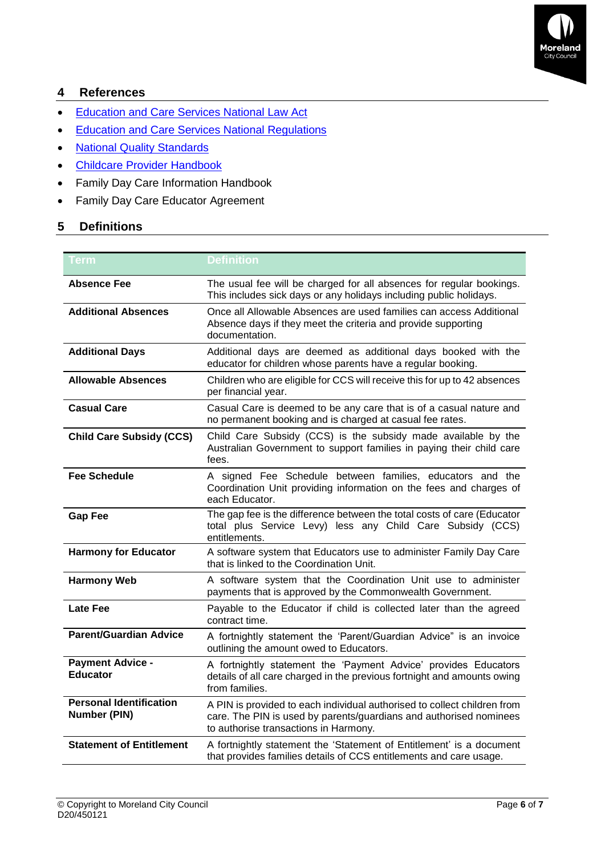

# **4 References**

- [Education and Care Services National Law Act](https://www.acecqa.gov.au/nqf/national-law-regulations/national-law)
- [Education and Care Services National Regulations](https://www.acecqa.gov.au/nqf/national-law-regulations/national-regulations)
- [National Quality Standards](https://www.acecqa.gov.au/nqf/national-quality-standard)
- [Childcare Provider Handbook](https://docs.education.gov.au/system/files/doc/other/child_care_provider_handbook_1.pdf)
- Family Day Care Information Handbook
- Family Day Care Educator Agreement

## **5 Definitions**

| <b>Term</b>                                           | <b>Definition</b>                                                                                                                                                                       |  |
|-------------------------------------------------------|-----------------------------------------------------------------------------------------------------------------------------------------------------------------------------------------|--|
| <b>Absence Fee</b>                                    | The usual fee will be charged for all absences for regular bookings.<br>This includes sick days or any holidays including public holidays.                                              |  |
| <b>Additional Absences</b>                            | Once all Allowable Absences are used families can access Additional<br>Absence days if they meet the criteria and provide supporting<br>documentation.                                  |  |
| <b>Additional Days</b>                                | Additional days are deemed as additional days booked with the<br>educator for children whose parents have a regular booking.                                                            |  |
| <b>Allowable Absences</b>                             | Children who are eligible for CCS will receive this for up to 42 absences<br>per financial year.                                                                                        |  |
| <b>Casual Care</b>                                    | Casual Care is deemed to be any care that is of a casual nature and<br>no permanent booking and is charged at casual fee rates.                                                         |  |
| <b>Child Care Subsidy (CCS)</b>                       | Child Care Subsidy (CCS) is the subsidy made available by the<br>Australian Government to support families in paying their child care<br>fees.                                          |  |
| <b>Fee Schedule</b>                                   | A signed Fee Schedule between families, educators and the<br>Coordination Unit providing information on the fees and charges of<br>each Educator.                                       |  |
| <b>Gap Fee</b>                                        | The gap fee is the difference between the total costs of care (Educator<br>total plus Service Levy) less any Child Care Subsidy (CCS)<br>entitlements.                                  |  |
| <b>Harmony for Educator</b>                           | A software system that Educators use to administer Family Day Care<br>that is linked to the Coordination Unit.                                                                          |  |
| <b>Harmony Web</b>                                    | A software system that the Coordination Unit use to administer<br>payments that is approved by the Commonwealth Government.                                                             |  |
| <b>Late Fee</b>                                       | Payable to the Educator if child is collected later than the agreed<br>contract time.                                                                                                   |  |
| <b>Parent/Guardian Advice</b>                         | A fortnightly statement the 'Parent/Guardian Advice" is an invoice<br>outlining the amount owed to Educators.                                                                           |  |
| <b>Payment Advice -</b><br><b>Educator</b>            | A fortnightly statement the 'Payment Advice' provides Educators<br>details of all care charged in the previous fortnight and amounts owing<br>from families.                            |  |
| <b>Personal Identification</b><br><b>Number (PIN)</b> | A PIN is provided to each individual authorised to collect children from<br>care. The PIN is used by parents/guardians and authorised nominees<br>to authorise transactions in Harmony. |  |
| <b>Statement of Entitlement</b>                       | A fortnightly statement the 'Statement of Entitlement' is a document<br>that provides families details of CCS entitlements and care usage.                                              |  |